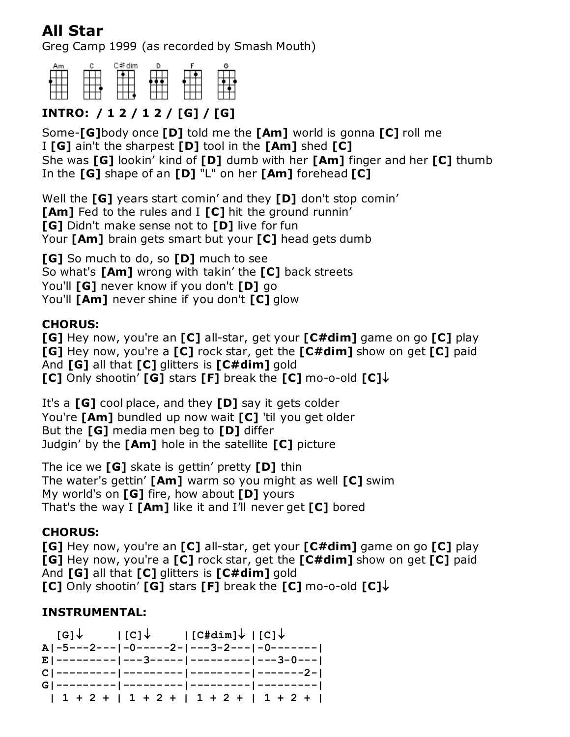# **All Star**

Greg Camp 1999 (as recorded by Smash Mouth)



# **INTRO: / 1 2 / 1 2 / [G] / [G]**

Some-**[G]**body once **[D]** told me the **[Am]** world is gonna **[C]** roll me I **[G]** ain't the sharpest **[D]** tool in the **[Am]** shed **[C]** She was **[G]** lookin' kind of **[D]** dumb with her **[Am]** finger and her **[C]** thumb In the **[G]** shape of an **[D]** "L" on her **[Am]** forehead **[C]**

Well the **[G]** years start comin' and they **[D]** don't stop comin' **[Am]** Fed to the rules and I **[C]** hit the ground runnin' **[G]** Didn't make sense not to **[D]** live for fun Your **[Am]** brain gets smart but your **[C]** head gets dumb

**[G]** So much to do, so **[D]** much to see So what's **[Am]** wrong with takin' the **[C]** back streets You'll **[G]** never know if you don't **[D]** go You'll **[Am]** never shine if you don't **[C]** glow

#### **CHORUS:**

**[G]** Hey now, you're an **[C]** all-star, get your **[C#dim]** game on go **[C]** play **[G]** Hey now, you're a **[C]** rock star, get the **[C#dim]** show on get **[C]** paid And **[G]** all that **[C]** glitters is **[C#dim]** gold **[C]** Only shootin' **[G]** stars **[F]** break the **[C]** mo-o-old **[C]**

It's a **[G]** cool place, and they **[D]** say it gets colder You're **[Am]** bundled up now wait **[C]** 'til you get older But the **[G]** media men beg to **[D]** differ Judgin' by the **[Am]** hole in the satellite **[C]** picture

The ice we **[G]** skate is gettin' pretty **[D]** thin The water's gettin' **[Am]** warm so you might as well **[C]** swim My world's on **[G]** fire, how about **[D]** yours That's the way I **[Am]** like it and I'll never get **[C]** bored

## **CHORUS:**

**[G]** Hey now, you're an **[C]** all-star, get your **[C#dim]** game on go **[C]** play **[G]** Hey now, you're a **[C]** rock star, get the **[C#dim]** show on get **[C]** paid And **[G]** all that **[C]** glitters is **[C#dim]** gold **[C]** Only shootin' **[G]** stars **[F]** break the **[C]** mo-o-old **[C]**

## **INSTRUMENTAL:**

 $[G]\downarrow$   $|[C]\downarrow$   $|[C#dim]\downarrow$   $|[C]\downarrow$ **A|-5---2---|-0-----2-|---3-2---|-0-------| E|---------|---3-----|---------|---3-0---| C|---------|---------|---------|-------2-| G|---------|---------|---------|---------| | 1 + 2 + | 1 + 2 + | 1 + 2 + | 1 + 2 + |**